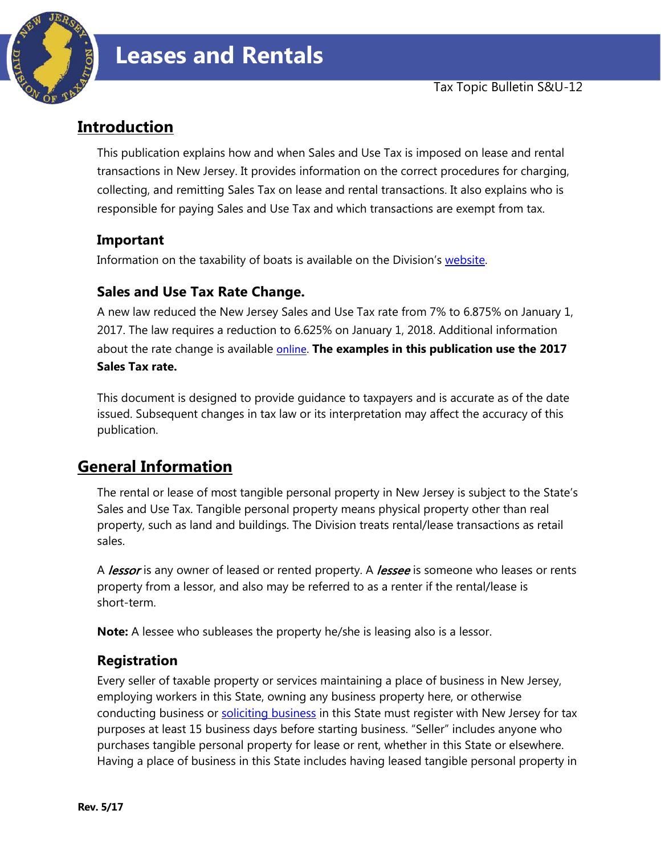

# **Introduction**

This publication explains how and when Sales and Use Tax is imposed on lease and rental transactions in New Jersey. It provides information on the correct procedures for charging, collecting, and remitting Sales Tax on lease and rental transactions. It also explains who is responsible for paying Sales and Use Tax and which transactions are exempt from tax.

## **Important**

Information on the taxability of boats is available on the Division's [website.](http://www.state.nj.us/treasury/taxation/boatbill.shtml)

## **Sales and Use Tax Rate Change.**

A new law reduced the New Jersey Sales and Use Tax rate from 7% to 6.875% on January 1, 2017. The law requires a reduction to 6.625% on January 1, 2018. Additional information about the rate change is available [online](http://www.state.nj.us/treasury/taxation/su-change.shtml). **The examples in this publication use the 2017 Sales Tax rate.**

This document is designed to provide guidance to taxpayers and is accurate as of the date issued. Subsequent changes in tax law or its interpretation may affect the accuracy of this publication.

# **General Information**

The rental or lease of most tangible personal property in New Jersey is subject to the State's Sales and Use Tax. Tangible personal property means physical property other than real property, such as land and buildings. The Division treats rental/lease transactions as retail sales.

A *lessor* is any owner of leased or rented property. A *lessee* is someone who leases or rents property from a lessor, and also may be referred to as a renter if the rental/lease is short-term.

**Note:** A lessee who subleases the property he/she is leasing also is a lessor.

#### **Registration**

Every seller of taxable property or services maintaining a place of business in New Jersey, employing workers in this State, owning any business property here, or otherwise conducting business or [soliciting business](http://www.state.nj.us/treasury/taxation/sales_use_tax.shtml) in this State must register with New Jersey for tax purposes at least 15 business days before starting business. "Seller" includes anyone who purchases tangible personal property for lease or rent, whether in this State or elsewhere. Having a place of business in this State includes having leased tangible personal property in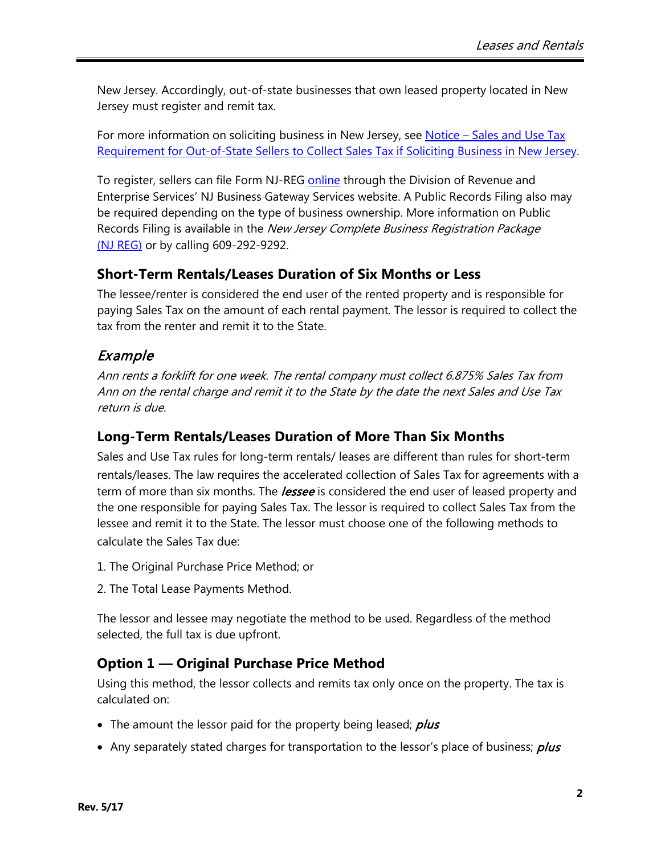New Jersey. Accordingly, out-of-state businesses that own leased property located in New Jersey must register and remit tax.

For more information on soliciting business in New Jersey, see Notice – Sales and Use Tax [Requirement for Out-of-State Sellers to Collect Sales Tax if Soliciting Business in New Jersey.](http://www.state.nj.us/treasury/taxation/sales_use_tax.shtml)

To register, sellers can file Form NJ-REG [online](http://www.state.nj.us/treasury/revenue/njbgs/bgsclientreg.shtml) through the Division of Revenue and Enterprise Services' NJ Business Gateway Services website. A Public Records Filing also may be required depending on the type of business ownership. More information on Public Records Filing is available in the *New Jersey Complete Business Registration Package* [\(NJ REG\)](http://www.state.nj.us/treasury/revenue/revprnt.shtml) or by calling 609-292-9292.

#### **Short-Term Rentals/Leases Duration of Six Months or Less**

The lessee/renter is considered the end user of the rented property and is responsible for paying Sales Tax on the amount of each rental payment. The lessor is required to collect the tax from the renter and remit it to the State.

## Example

Ann rents a forklift for one week. The rental company must collect 6.875% Sales Tax from Ann on the rental charge and remit it to the State by the date the next Sales and Use Tax return is due.

## **Long-Term Rentals/Leases Duration of More Than Six Months**

Sales and Use Tax rules for long-term rentals/ leases are different than rules for short-term rentals/leases. The law requires the accelerated collection of Sales Tax for agreements with a term of more than six months. The *lessee* is considered the end user of leased property and the one responsible for paying Sales Tax. The lessor is required to collect Sales Tax from the lessee and remit it to the State. The lessor must choose one of the following methods to calculate the Sales Tax due:

- 1. The Original Purchase Price Method; or
- 2. The Total Lease Payments Method.

The lessor and lessee may negotiate the method to be used. Regardless of the method selected, the full tax is due upfront.

## **Option 1 — Original Purchase Price Method**

Using this method, the lessor collects and remits tax only once on the property. The tax is calculated on:

- The amount the lessor paid for the property being leased; *plus*
- Any separately stated charges for transportation to the lessor's place of business; *plus*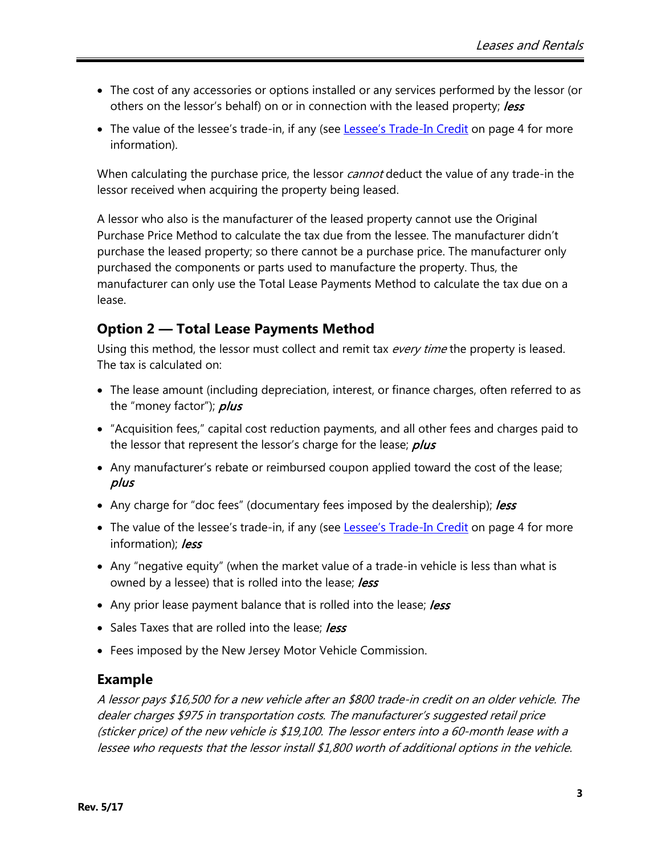- The cost of any accessories or options installed or any services performed by the lessor (or others on the lessor's behalf) on or in connection with the leased property; less
- The value of the lessee's trade-in, if any (see [Lessee's Trade-In Credit](#page-3-0) on page 4 for more information).

When calculating the purchase price, the lessor *cannot* deduct the value of any trade-in the lessor received when acquiring the property being leased.

A lessor who also is the manufacturer of the leased property cannot use the Original Purchase Price Method to calculate the tax due from the lessee. The manufacturer didn't purchase the leased property; so there cannot be a purchase price. The manufacturer only purchased the components or parts used to manufacture the property. Thus, the manufacturer can only use the Total Lease Payments Method to calculate the tax due on a lease.

## **Option 2 — Total Lease Payments Method**

Using this method, the lessor must collect and remit tax every time the property is leased. The tax is calculated on:

- The lease amount (including depreciation, interest, or finance charges, often referred to as the "money factor"); *plus*
- "Acquisition fees," capital cost reduction payments, and all other fees and charges paid to the lessor that represent the lessor's charge for the lease; plus
- Any manufacturer's rebate or reimbursed coupon applied toward the cost of the lease; plus
- Any charge for "doc fees" (documentary fees imposed by the dealership); less
- The value of the lessee's trade-in, if any (see [Lessee's Trade-In Credit](#page-3-0) on page 4 for more information); *less*
- Any "negative equity" (when the market value of a trade-in vehicle is less than what is owned by a lessee) that is rolled into the lease; less
- Any prior lease payment balance that is rolled into the lease; less
- Sales Taxes that are rolled into the lease; less
- Fees imposed by the New Jersey Motor Vehicle Commission.

#### **Example**

A lessor pays \$16,500 for a new vehicle after an \$800 trade-in credit on an older vehicle. The dealer charges \$975 in transportation costs. The manufacturer's suggested retail price (sticker price) of the new vehicle is \$19,100. The lessor enters into a 60-month lease with a lessee who requests that the lessor install \$1,800 worth of additional options in the vehicle.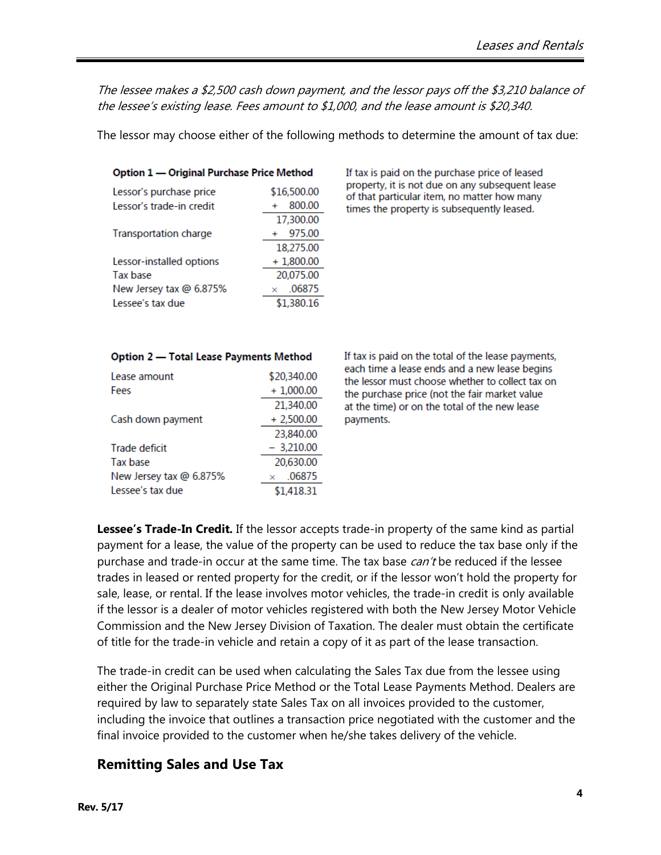The lessee makes a \$2,500 cash down payment, and the lessor pays off the \$3,210 balance of the lessee's existing lease. Fees amount to \$1,000, and the lease amount is \$20,340.

The lessor may choose either of the following methods to determine the amount of tax due:

| Option 1 - Original Purchase Price Method |  |
|-------------------------------------------|--|
| \$16,500.00                               |  |
| 800.00                                    |  |
| 17,300.00                                 |  |
| 975.00                                    |  |
| 18,275.00                                 |  |
| $+1,800.00$                               |  |
| 20,075.00                                 |  |
| .06875<br>×                               |  |
| \$1,380.16                                |  |
|                                           |  |

If tax is paid on the purchase price of leased property, it is not due on any subsequent lease of that particular item, no matter how many times the property is subsequently leased.

#### Option 2 - Total Lease Payments Method

| Lease amount            | \$20,340.00 |
|-------------------------|-------------|
| Fees                    | $+1,000.00$ |
|                         | 21,340.00   |
| Cash down payment       | $+2,500.00$ |
|                         | 23,840.00   |
| Trade deficit           | $-3,210.00$ |
| Tax base                | 20,630.00   |
| New Jersey tax @ 6.875% | .06875<br>× |
| Lessee's tax due        | \$1,418.31  |

If tax is paid on the total of the lease payments, each time a lease ends and a new lease begins the lessor must choose whether to collect tax on the purchase price (not the fair market value at the time) or on the total of the new lease payments.

<span id="page-3-0"></span>**Lessee's Trade-In Credit.** If the lessor accepts trade-in property of the same kind as partial payment for a lease, the value of the property can be used to reduce the tax base only if the purchase and trade-in occur at the same time. The tax base *can't* be reduced if the lessee trades in leased or rented property for the credit, or if the lessor won't hold the property for sale, lease, or rental. If the lease involves motor vehicles, the trade-in credit is only available if the lessor is a dealer of motor vehicles registered with both the New Jersey Motor Vehicle Commission and the New Jersey Division of Taxation. The dealer must obtain the certificate of title for the trade-in vehicle and retain a copy of it as part of the lease transaction.

The trade-in credit can be used when calculating the Sales Tax due from the lessee using either the Original Purchase Price Method or the Total Lease Payments Method. Dealers are required by law to separately state Sales Tax on all invoices provided to the customer, including the invoice that outlines a transaction price negotiated with the customer and the final invoice provided to the customer when he/she takes delivery of the vehicle.

#### **Remitting Sales and Use Tax**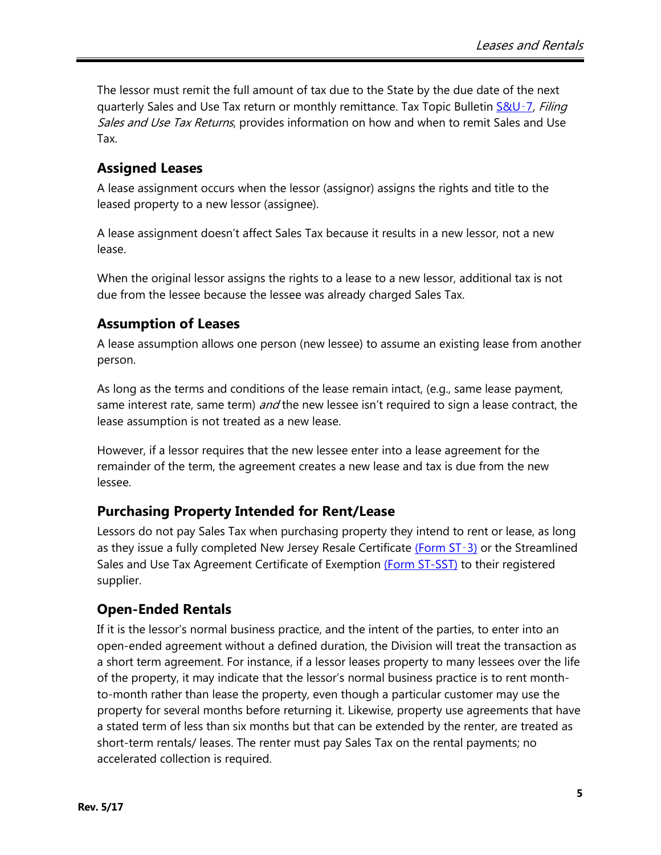The lessor must remit the full amount of tax due to the State by the due date of the next quarterly Sales and Use Tax return or monthly remittance. Tax Topic Bulletin [S&U](http://www.state.nj.us/treasury/taxation/pdf/pubs/sales/su7.pdf)-7, Filing Sales and Use Tax Returns, provides information on how and when to remit Sales and Use Tax.

## **Assigned Leases**

A lease assignment occurs when the lessor (assignor) assigns the rights and title to the leased property to a new lessor (assignee).

A lease assignment doesn't affect Sales Tax because it results in a new lessor, not a new lease.

When the original lessor assigns the rights to a lease to a new lessor, additional tax is not due from the lessee because the lessee was already charged Sales Tax.

## **Assumption of Leases**

A lease assumption allows one person (new lessee) to assume an existing lease from another person.

As long as the terms and conditions of the lease remain intact, (e.g., same lease payment, same interest rate, same term) *and* the new lessee isn't required to sign a lease contract, the lease assumption is not treated as a new lease.

However, if a lessor requires that the new lessee enter into a lease agreement for the remainder of the term, the agreement creates a new lease and tax is due from the new lessee.

## **Purchasing Property Intended for Rent/Lease**

Lessors do not pay Sales Tax when purchasing property they intend to rent or lease, as long as they issue a fully completed New Jersey Resale Certificate  $(Form ST-3)$  or the Streamlined Sales and Use Tax Agreement Certificate of Exemption [\(Form ST-SST\)](http://www.state.nj.us/treasury/taxation/pdf/other_forms/sales/st_sst.pdf) to their registered supplier.

## **Open-Ended Rentals**

If it is the lessor's normal business practice, and the intent of the parties, to enter into an open-ended agreement without a defined duration, the Division will treat the transaction as a short term agreement. For instance, if a lessor leases property to many lessees over the life of the property, it may indicate that the lessor's normal business practice is to rent monthto-month rather than lease the property, even though a particular customer may use the property for several months before returning it. Likewise, property use agreements that have a stated term of less than six months but that can be extended by the renter, are treated as short-term rentals/ leases. The renter must pay Sales Tax on the rental payments; no accelerated collection is required.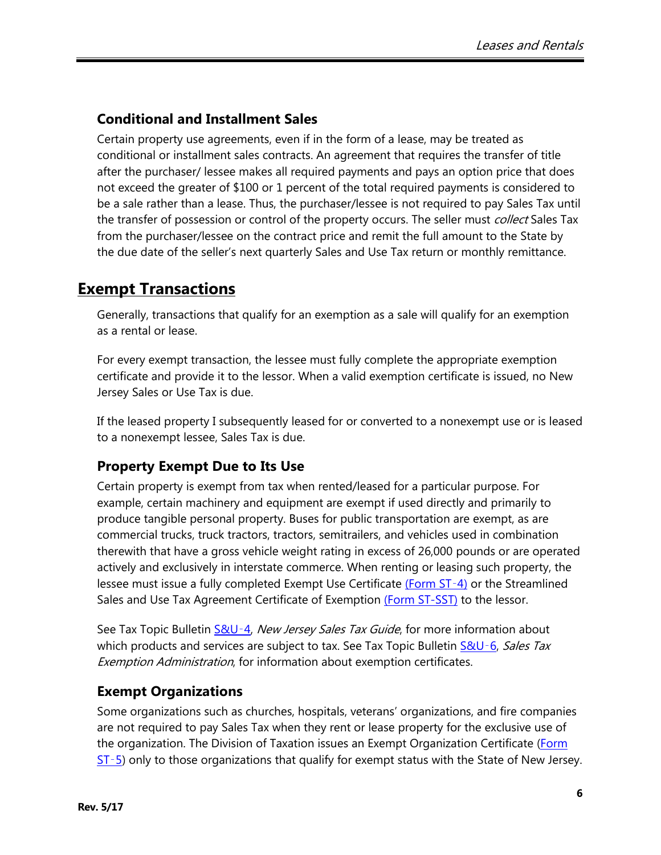### **Conditional and Installment Sales**

Certain property use agreements, even if in the form of a lease, may be treated as conditional or installment sales contracts. An agreement that requires the transfer of title after the purchaser/ lessee makes all required payments and pays an option price that does not exceed the greater of \$100 or 1 percent of the total required payments is considered to be a sale rather than a lease. Thus, the purchaser/lessee is not required to pay Sales Tax until the transfer of possession or control of the property occurs. The seller must *collect* Sales Tax from the purchaser/lessee on the contract price and remit the full amount to the State by the due date of the seller's next quarterly Sales and Use Tax return or monthly remittance.

## **Exempt Transactions**

Generally, transactions that qualify for an exemption as a sale will qualify for an exemption as a rental or lease.

For every exempt transaction, the lessee must fully complete the appropriate exemption certificate and provide it to the lessor. When a valid exemption certificate is issued, no New Jersey Sales or Use Tax is due.

If the leased property I subsequently leased for or converted to a nonexempt use or is leased to a nonexempt lessee, Sales Tax is due.

#### **Property Exempt Due to Its Use**

Certain property is exempt from tax when rented/leased for a particular purpose. For example, certain machinery and equipment are exempt if used directly and primarily to produce tangible personal property. Buses for public transportation are exempt, as are commercial trucks, truck tractors, tractors, semitrailers, and vehicles used in combination therewith that have a gross vehicle weight rating in excess of 26,000 pounds or are operated actively and exclusively in interstate commerce. When renting or leasing such property, the lessee must issue a fully completed Exempt Use Certificate [\(Form ST](http://www.state.nj.us/treasury/taxation/pdf/other_forms/sales/st4.pdf)‑4) or the Streamlined Sales and Use Tax Agreement Certificate of Exemption [\(Form ST-SST\)](http://www.state.nj.us/treasury/taxation/pdf/other_forms/sales/st_sst.pdf) to the lessor.

See Tax Topic Bulletin [S&U](http://www.state.nj.us/treasury/taxation/pdf/pubs/sales/su4.pdf)-4, New Jersey Sales Tax Guide, for more information about which products and services are subject to tax. See Tax Topic Bulletin [S&U](http://www.state.nj.us/treasury/taxation/pdf/pubs/sales/su6.pdf)-6, Sales Tax Exemption Administration, for information about exemption certificates.

#### **Exempt Organizations**

Some organizations such as churches, hospitals, veterans' organizations, and fire companies are not required to pay Sales Tax when they rent or lease property for the exclusive use of the organization. The Division of Taxation issues an Exempt Organization Certificate (Form  $ST-5$  $ST-5$ ) only to those organizations that qualify for exempt status with the State of New Jersey.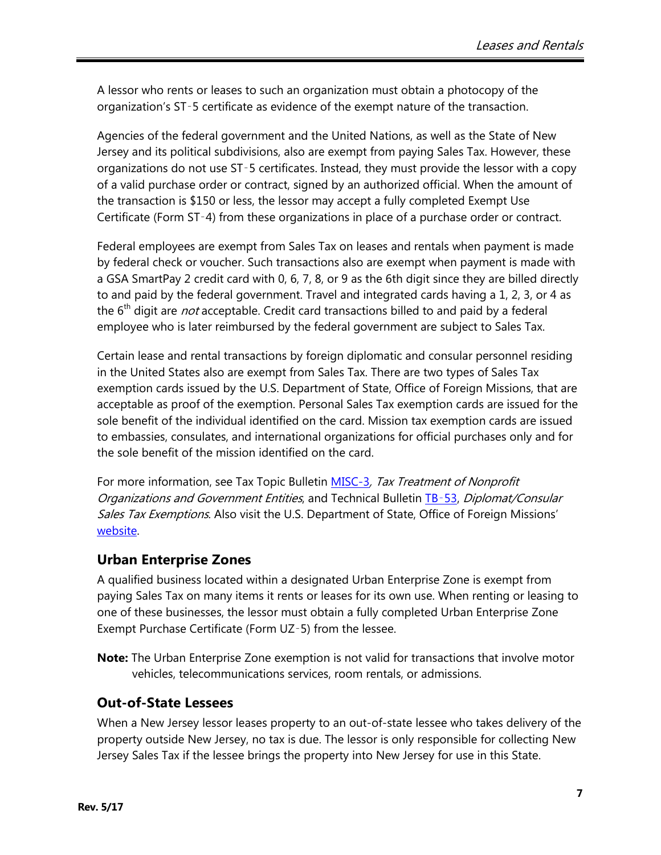A lessor who rents or leases to such an organization must obtain a photocopy of the organization's ST‑5 certificate as evidence of the exempt nature of the transaction.

Agencies of the federal government and the United Nations, as well as the State of New Jersey and its political subdivisions, also are exempt from paying Sales Tax. However, these organizations do not use ST‑5 certificates. Instead, they must provide the lessor with a copy of a valid purchase order or contract, signed by an authorized official. When the amount of the transaction is \$150 or less, the lessor may accept a fully completed Exempt Use Certificate (Form ST‑4) from these organizations in place of a purchase order or contract.

Federal employees are exempt from Sales Tax on leases and rentals when payment is made by federal check or voucher. Such transactions also are exempt when payment is made with a GSA SmartPay 2 credit card with 0, 6, 7, 8, or 9 as the 6th digit since they are billed directly to and paid by the federal government. Travel and integrated cards having a 1, 2, 3, or 4 as the 6<sup>th</sup> digit are *not* acceptable. Credit card transactions billed to and paid by a federal employee who is later reimbursed by the federal government are subject to Sales Tax.

Certain lease and rental transactions by foreign diplomatic and consular personnel residing in the United States also are exempt from Sales Tax. There are two types of Sales Tax exemption cards issued by the U.S. Department of State, Office of Foreign Missions, that are acceptable as proof of the exemption. Personal Sales Tax exemption cards are issued for the sole benefit of the individual identified on the card. Mission tax exemption cards are issued to embassies, consulates, and international organizations for official purchases only and for the sole benefit of the mission identified on the card.

For more information, see Tax Topic Bulletin [MISC-3](http://www.state.nj.us/treasury/taxation/pdf/pubs/misc3.pdf), Tax Treatment of Nonprofit Organizations and Government Entities, and Technical Bulletin TB-[53,](http://www.state.nj.us/treasury/taxation/pdf/pubs/tb/tb53.pdf) Diplomat/Consular Sales Tax Exemptions. Also visit the U.S. Department of State, Office of Foreign Missions' [website.](https://www.state.gov/ofm/)

#### **Urban Enterprise Zones**

A qualified business located within a designated Urban Enterprise Zone is exempt from paying Sales Tax on many items it rents or leases for its own use. When renting or leasing to one of these businesses, the lessor must obtain a fully completed Urban Enterprise Zone Exempt Purchase Certificate (Form UZ‑5) from the lessee.

**Note:** The Urban Enterprise Zone exemption is not valid for transactions that involve motor vehicles, telecommunications services, room rentals, or admissions.

#### **Out-of-State Lessees**

When a New Jersey lessor leases property to an out-of-state lessee who takes delivery of the property outside New Jersey, no tax is due. The lessor is only responsible for collecting New Jersey Sales Tax if the lessee brings the property into New Jersey for use in this State.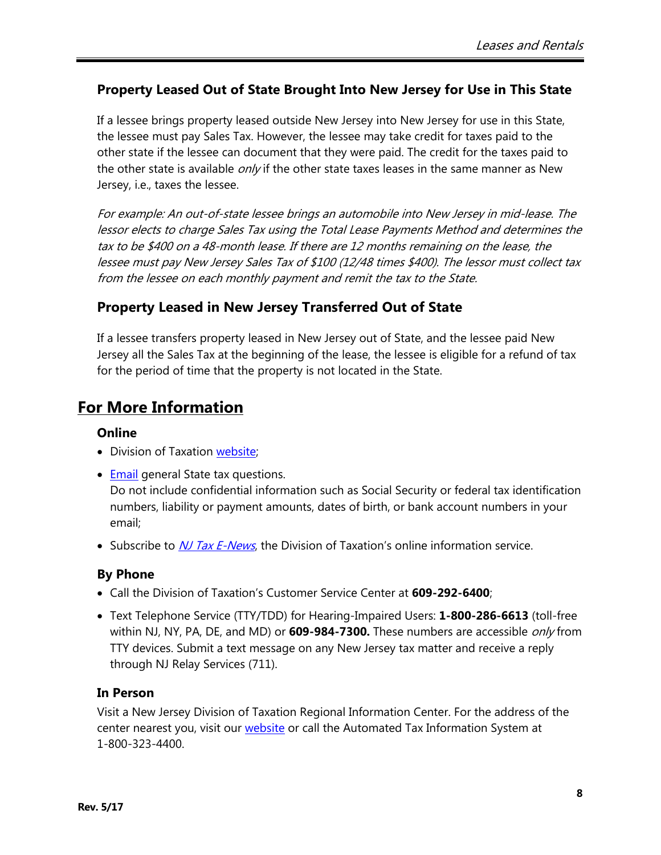#### **Property Leased Out of State Brought Into New Jersey for Use in This State**

If a lessee brings property leased outside New Jersey into New Jersey for use in this State, the lessee must pay Sales Tax. However, the lessee may take credit for taxes paid to the other state if the lessee can document that they were paid. The credit for the taxes paid to the other state is available  $\omega n/\nu$  if the other state taxes leases in the same manner as New Jersey, i.e., taxes the lessee.

For example: An out-of-state lessee brings an automobile into New Jersey in mid-lease. The lessor elects to charge Sales Tax using the Total Lease Payments Method and determines the tax to be \$400 on a 48-month lease. If there are 12 months remaining on the lease, the lessee must pay New Jersey Sales Tax of \$100 (12/48 times \$400). The lessor must collect tax from the lessee on each monthly payment and remit the tax to the State.

## **Property Leased in New Jersey Transferred Out of State**

If a lessee transfers property leased in New Jersey out of State, and the lessee paid New Jersey all the Sales Tax at the beginning of the lease, the lessee is eligible for a refund of tax for the period of time that the property is not located in the State.

# **For More Information**

#### **Online**

- Division of Taxation [website;](http://www.njtaxation.org/)
- [Email](https://www.state.nj.us/treas/taxation/contactus_tyttaxa.shtml) general State tax questions. Do not include confidential information such as Social Security or federal tax identification numbers, liability or payment amounts, dates of birth, or bank account numbers in your email;
- Subscribe to *[NJ Tax E-News](http://www.state.nj.us/treasury/taxation/listservice.shtml)*, the Division of Taxation's online information service.

#### **By Phone**

- Call the Division of Taxation's Customer Service Center at **609-292-6400**;
- Text Telephone Service (TTY/TDD) for Hearing-Impaired Users: **1-800-286-6613** (toll-free within NJ, NY, PA, DE, and MD) or **609-984-7300.** These numbers are accessible only from TTY devices. Submit a text message on any New Jersey tax matter and receive a reply through NJ Relay Services (711).

#### **In Person**

Visit a New Jersey Division of Taxation Regional Information Center. For the address of the center nearest you, visit our [website](https://www.state.nj.us/treasury/taxation/organization/ts-regional.shtml) or call the Automated Tax Information System at 1-800-323-4400.